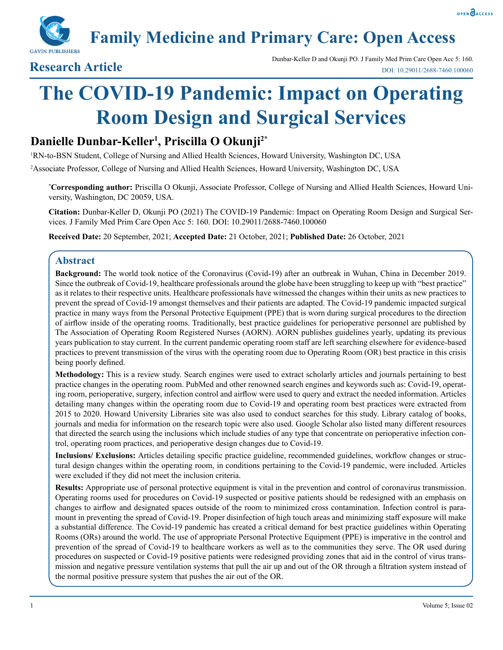

**Family Medicine and Primary Care: Open Access**

Dunbar-Keller D and Okunji PO. J Family Med Prim Care Open Acc 5: 160.<br>Dunbar-Keller D and Okunji PO. J Family Med Prim Care Open Acc 5: 160.<br>DOL: 10.29011/2688-7460.100060. DOI: 10.29011/2688-7460.100060

# **The COVID-19 Pandemic: Impact on Operating Room Design and Surgical Services**

## **Danielle Dunbar-Keller1 , Priscilla O Okunji2\***

1 RN-to-BSN Student, College of Nursing and Allied Health Sciences, Howard University, Washington DC, USA

2 Associate Professor, College of Nursing and Allied Health Sciences, Howard University, Washington DC, USA

**\* Corresponding author:** Priscilla O Okunji, Associate Professor, College of Nursing and Allied Health Sciences, Howard University, Washington, DC 20059, USA.

**Citation:** Dunbar-Keller D, Okunji PO (2021) The COVID-19 Pandemic: Impact on Operating Room Design and Surgical Services. J Family Med Prim Care Open Acc 5: 160. DOI: 10.29011/2688-7460.100060

**Received Date:** 20 September, 2021; **Accepted Date:** 21 October, 2021; **Published Date:** 26 October, 2021

#### **Abstract**

**Background:** The world took notice of the Coronavirus (Covid-19) after an outbreak in Wuhan, China in December 2019. Since the outbreak of Covid-19, healthcare professionals around the globe have been struggling to keep up with "best practice" as it relates to their respective units. Healthcare professionals have witnessed the changes within their units as new practices to prevent the spread of Covid-19 amongst themselves and their patients are adapted. The Covid-19 pandemic impacted surgical practice in many ways from the Personal Protective Equipment (PPE) that is worn during surgical procedures to the direction of airflow inside of the operating rooms. Traditionally, best practice guidelines for perioperative personnel are published by The Association of Operating Room Registered Nurses (AORN). AORN publishes guidelines yearly, updating its previous years publication to stay current. In the current pandemic operating room staff are left searching elsewhere for evidence-based practices to prevent transmission of the virus with the operating room due to Operating Room (OR) best practice in this crisis being poorly defined.

**Methodology:** This is a review study. Search engines were used to extract scholarly articles and journals pertaining to best practice changes in the operating room. PubMed and other renowned search engines and keywords such as: Covid-19, operating room, perioperative, surgery, infection control and airflow were used to query and extract the needed information. Articles detailing many changes within the operating room due to Covid-19 and operating room best practices were extracted from 2015 to 2020. Howard University Libraries site was also used to conduct searches for this study. Library catalog of books, journals and media for information on the research topic were also used. Google Scholar also listed many different resources that directed the search using the inclusions which include studies of any type that concentrate on perioperative infection control, operating room practices, and perioperative design changes due to Covid-19.

**Inclusions/ Exclusions:** Articles detailing specific practice guideline, recommended guidelines, workflow changes or structural design changes within the operating room, in conditions pertaining to the Covid-19 pandemic, were included. Articles were excluded if they did not meet the inclusion criteria.

**Results:** Appropriate use of personal protective equipment is vital in the prevention and control of coronavirus transmission. Operating rooms used for procedures on Covid-19 suspected or positive patients should be redesigned with an emphasis on changes to airflow and designated spaces outside of the room to minimized cross contamination. Infection control is paramount in preventing the spread of Covid-19. Proper disinfection of high touch areas and minimizing staff exposure will make a substantial difference. The Covid-19 pandemic has created a critical demand for best practice guidelines within Operating Rooms (ORs) around the world. The use of appropriate Personal Protective Equipment (PPE) is imperative in the control and prevention of the spread of Covid-19 to healthcare workers as well as to the communities they serve. The OR used during procedures on suspected or Covid-19 positive patients were redesigned providing zones that aid in the control of virus transmission and negative pressure ventilation systems that pull the air up and out of the OR through a filtration system instead of the normal positive pressure system that pushes the air out of the OR.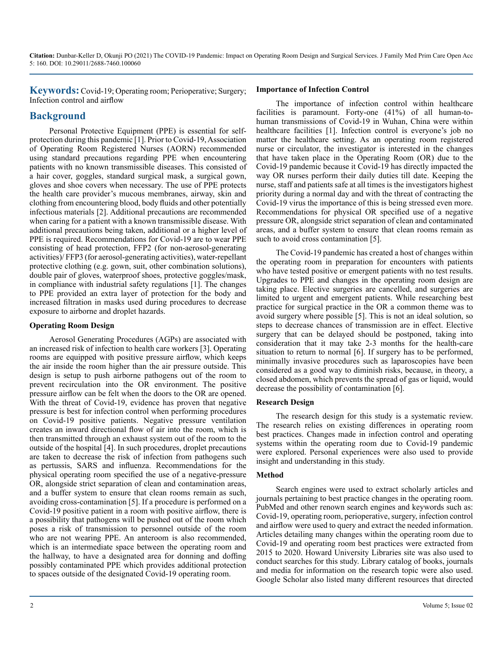**Keywords:** Covid-19; Operating room; Perioperative; Surgery; Infection control and airflow

### **Background**

Personal Protective Equipment (PPE) is essential for selfprotection during this pandemic [1]. Prior to Covid-19, Association of Operating Room Registered Nurses (AORN) recommended using standard precautions regarding PPE when encountering patients with no known transmissible diseases. This consisted of a hair cover, goggles, standard surgical mask, a surgical gown, gloves and shoe covers when necessary. The use of PPE protects the health care provider's mucous membranes, airway, skin and clothing from encountering blood, body fluids and other potentially infectious materials [2]. Additional precautions are recommended when caring for a patient with a known transmissible disease. With additional precautions being taken, additional or a higher level of PPE is required. Recommendations for Covid-19 are to wear PPE consisting of head protection, FFP2 (for non-aerosol-generating activities)/ FFP3 (for aerosol-generating activities), water-repellant protective clothing (e.g. gown, suit, other combination solutions), double pair of gloves, waterproof shoes, protective goggles/mask, in compliance with industrial safety regulations [1]. The changes to PPE provided an extra layer of protection for the body and increased filtration in masks used during procedures to decrease exposure to airborne and droplet hazards.

#### **Operating Room Design**

Aerosol Generating Procedures (AGPs) are associated with an increased risk of infection to health care workers [3]. Operating rooms are equipped with positive pressure airflow, which keeps the air inside the room higher than the air pressure outside. This design is setup to push airborne pathogens out of the room to prevent recirculation into the OR environment. The positive pressure airflow can be felt when the doors to the OR are opened. With the threat of Covid-19, evidence has proven that negative pressure is best for infection control when performing procedures on Covid-19 positive patients. Negative pressure ventilation creates an inward directional flow of air into the room, which is then transmitted through an exhaust system out of the room to the outside of the hospital [4]. In such procedures, droplet precautions are taken to decrease the risk of infection from pathogens such as pertussis, SARS and influenza. Recommendations for the physical operating room specified the use of a negative-pressure OR, alongside strict separation of clean and contamination areas, and a buffer system to ensure that clean rooms remain as such, avoiding cross-contamination [5]. If a procedure is performed on a Covid-19 positive patient in a room with positive airflow, there is a possibility that pathogens will be pushed out of the room which poses a risk of transmission to personnel outside of the room who are not wearing PPE. An anteroom is also recommended, which is an intermediate space between the operating room and the hallway, to have a designated area for donning and doffing possibly contaminated PPE which provides additional protection to spaces outside of the designated Covid-19 operating room.

#### **Importance of Infection Control**

The importance of infection control within healthcare facilities is paramount. Forty-one (41%) of all human-tohuman transmissions of Covid-19 in Wuhan, China were within healthcare facilities [1]. Infection control is everyone's job no matter the healthcare setting. As an operating room registered nurse or circulator, the investigator is interested in the changes that have taken place in the Operating Room (OR) due to the Covid-19 pandemic because it Covid-19 has directly impacted the way OR nurses perform their daily duties till date. Keeping the nurse, staff and patients safe at all times is the investigators highest priority during a normal day and with the threat of contracting the Covid-19 virus the importance of this is being stressed even more. Recommendations for physical OR specified use of a negative pressure OR, alongside strict separation of clean and contaminated areas, and a buffer system to ensure that clean rooms remain as such to avoid cross contamination [5].

The Covid-19 pandemic has created a host of changes within the operating room in preparation for encounters with patients who have tested positive or emergent patients with no test results. Upgrades to PPE and changes in the operating room design are taking place. Elective surgeries are cancelled, and surgeries are limited to urgent and emergent patients. While researching best practice for surgical practice in the OR a common theme was to avoid surgery where possible [5]. This is not an ideal solution, so steps to decrease chances of transmission are in effect. Elective surgery that can be delayed should be postponed, taking into consideration that it may take 2-3 months for the health-care situation to return to normal [6]. If surgery has to be performed, minimally invasive procedures such as laparoscopies have been considered as a good way to diminish risks, because, in theory, a closed abdomen, which prevents the spread of gas or liquid, would decrease the possibility of contamination [6].

#### **Research Design**

The research design for this study is a systematic review. The research relies on existing differences in operating room best practices. Changes made in infection control and operating systems within the operating room due to Covid-19 pandemic were explored. Personal experiences were also used to provide insight and understanding in this study.

#### **Method**

Search engines were used to extract scholarly articles and journals pertaining to best practice changes in the operating room. PubMed and other renown search engines and keywords such as: Covid-19, operating room, perioperative, surgery, infection control and airflow were used to query and extract the needed information. Articles detailing many changes within the operating room due to Covid-19 and operating room best practices were extracted from 2015 to 2020. Howard University Libraries site was also used to conduct searches for this study. Library catalog of books, journals and media for information on the research topic were also used. Google Scholar also listed many different resources that directed